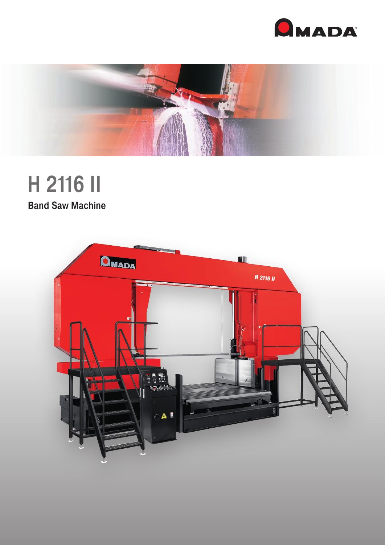



# H 2116 II **Band Saw Machine**